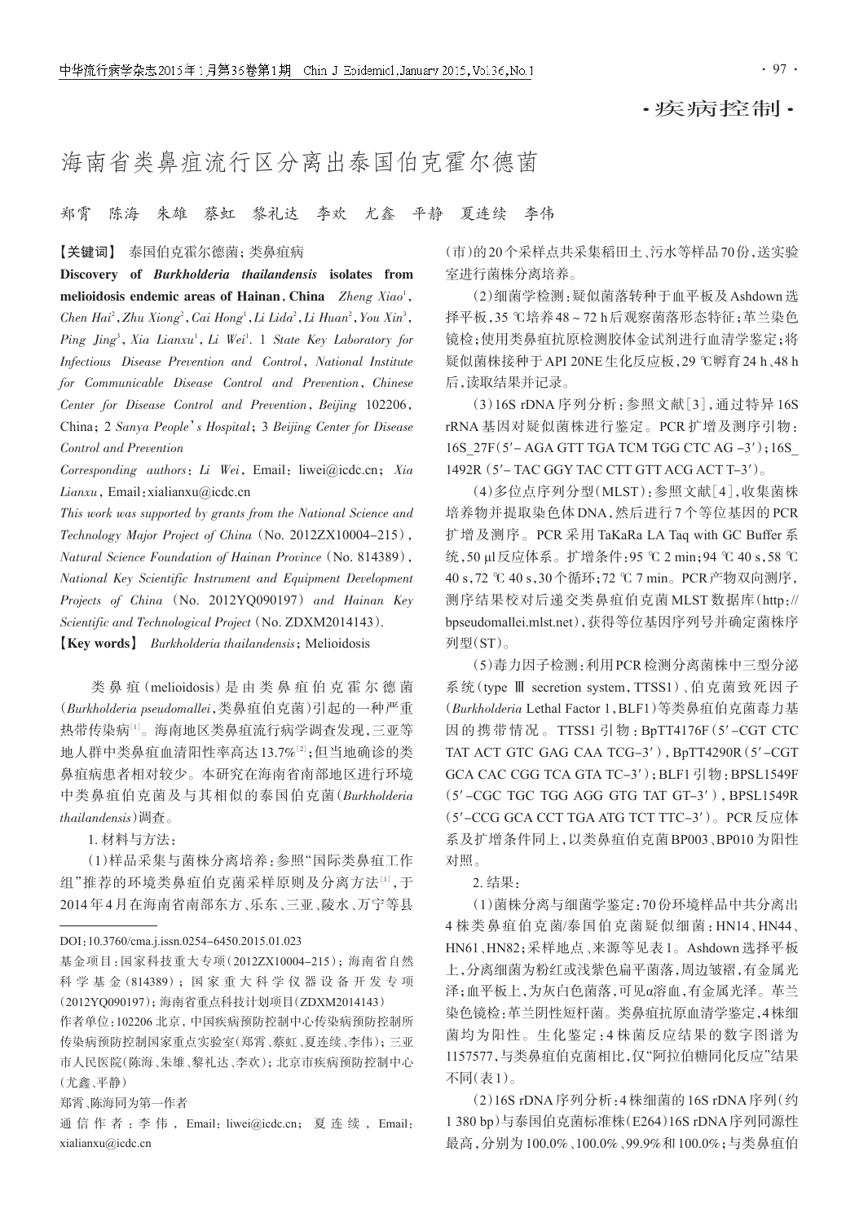·疾病控制·

## 海南省类鼻疽流行区分离出泰国伯克霍尔德菌

郑霄 陈海 朱雄 蔡虹 黎礼达 李欢 尤鑫 平静 夏连续 李伟

## 【关键词】 泰国伯克霍尔德菌;类鼻疽病

Discovery of Burkholderia thailandensis isolates from melioidosis endemic areas of Hainan, China  $Z$ heng Xiao<sup>1</sup>, Chen Hai<sup>2</sup>, Zhu Xiong<sup>2</sup>, Cai Hong<sup>1</sup>, Li Lida<sup>2</sup>, Li Huan<sup>2</sup>, You Xin<sup>3</sup>, Ping Jing<sup>3</sup>, Xia Lianxu<sup>1</sup>, Li Wei<sup>1</sup>. 1 State Key Laboratory for Infectious Disease Prevention and Control, National Institute for Communicable Disease Control and Prevention, Chinese Center for Disease Control and Prevention, Beijing 102206, China;2 Sanya People's Hospital;3 Beijing Center for Disease Control and Prevention

Corresponding authors: Li Wei, Email: liwei@icdc.cn; Xia Lianxu, Email: xialianxu@icdc.cn

This work was supported by grants from the National Science and Technology Major Project of China (No. 2012ZX10004-215), Natural Science Foundation of Hainan Province(No. 814389), National Key Scientific Instrument and Equipment Development Projects of China (No. 2012YQ090197) and Hainan Key Scientific and Technological Project (No. ZDXM2014143).

**[Key words]** Burkholderia thailandensis; Melioidosis

类 鼻 疽(melioidosis)是 由 类 鼻 疽 伯 克 霍 尔 德 菌 (Burkholderia pseudomallei,类鼻疽伯克菌)引起的一种严重 热带传染病[<sup>1</sup>] 。海南地区类鼻疽流行病学调查发现,三亚等 地人群中类鼻疽血清阳性率高达13.7%[<sup>2</sup>] ;但当地确诊的类 鼻疽病患者相对较少。本研究在海南省南部地区进行环境 中类鼻疽伯克菌及与其相似的泰国伯克菌(Burkholderia thailandensis)调查。

1. 材料与方法:

(1)样品采集与菌株分离培养:参照"国际类鼻疽工作 组"推荐的环境类鼻疽伯克菌采样原则及分离方法[1],于 2014年4月在海南省南部东方、乐东、三亚、陵水、万宁等县

## DOI:10.3760/cma.j.issn.0254-6450.2015.01.023

郑霄、陈海同为第一作者

(市)的20个采样点共采集稻田土、污水等样品70份,送实验 室进行菌株分离培养。

(2)细菌学检测:疑似菌落转种于血平板及Ashdown选 择平板,35 ℃培养48~72 h后观察菌落形态特征;革兰染色 镜检;使用类鼻疽抗原检测胶体金试剂进行血清学鉴定;将 疑似菌株接种于API 20NE生化反应板,29 ℃孵育24 h、48 h 后,读取结果并记录。

(3)16S rDNA 序列分析:参照文献[3],通过特异 16S rRNA 基因对疑似菌株进行鉴定。PCR 扩增及测序引物: 16S\_27F(5′- AGA GTT TGA TCM TGG CTC AG -3′);16S\_ 1492R(5′- TAC GGY TAC CTT GTT ACG ACT T-3′)。

(4)多位点序列分型(MLST):参照文献[4],收集菌株 培养物并提取染色体 DNA,然后进行 7 个等位基因的 PCR 扩增及测序。PCR 采用 TaKaRa LA Taq with GC Buffer 系 统,50 μl反应体系。扩增条件:95 ℃ 2 min;94 ℃ 40 s,58 ℃ 40 s,72 ℃ 40 s,30个循环;72 ℃ 7 min。PCR产物双向测序, 测序结果校对后递交类鼻疽伯克菌 MLST 数据库(http:// bpseudomallei.mlst.net),获得等位基因序列号并确定菌株序 列型(ST)。

(5)毒力因子检测:利用PCR检测分离菌株中三型分泌 系统(type Ⅲ secretion system,TTSS1)、伯克菌致死因子 (Burkholderia Lethal Factor 1,BLF1)等类鼻疽伯克菌毒力基 因的携带情况。TTSS1 引物:BpTT4176F(5′-CGT CTC TAT ACT GTC GAG CAA TCG-3′),BpTT4290R(5′-CGT GCA CAC CGG TCA GTA TC-3′);BLF1 引物:BPSL1549F (5'-CGC TGC TGG AGG GTG TAT GT-3'), BPSL1549R (5′-CCG GCA CCT TGA ATG TCT TTC-3′)。PCR 反应体 系及扩增条件同上,以类鼻疽伯克菌 BP003、BP010 为阳性 对照。

2. 结果:

(1)菌株分离与细菌学鉴定:70份环境样品中共分离出 4 株类鼻疽伯克菌/泰国伯克菌疑似细菌:HN14、HN44、 HN61、HN82;采样地点、来源等见表 1。Ashdown 选择平板 上,分离细菌为粉红或浅紫色扁平菌落,周边皱褶,有金属光 泽;血平板上,为灰白色菌落,可见α溶血,有金属光泽。革兰 染色镜检:革兰阴性短杆菌。类鼻疽抗原血清学鉴定,4株细 菌均为阳性。生化鉴定:4 株菌反应结果的数字图谱为 1157577,与类鼻疽伯克菌相比,仅"阿拉伯糖同化反应"结果 不同(表1)。

(2)16S rDNA序列分析:4株细菌的16S rDNA序列(约 1 380 bp)与泰国伯克菌标准株(E264)16S rDNA序列同源性 最高,分别为100.0%、100.0%、99.9%和100.0%;与类鼻疽伯

基金项目:国家科技重大专项(2012ZX10004-215);海南省自然 科 学 基 金(814389);国 家 重 大 科 学 仪 器 设 备 开 发 专 项 (2012YQ090197);海南省重点科技计划项目(ZDXM2014143)

作者单位:102206 北京,中国疾病预防控制中心传染病预防控制所 传染病预防控制国家重点实验室(郑霄、蔡虹、夏连续、李伟);三亚 市人民医院(陈海、朱雄、黎礼达、李欢);北京市疾病预防控制中心 (尤鑫、平静)

通信作者: 李伟, Email: liwei@icdc.cn; 夏连续, Email: xialianxu@icdc.cn